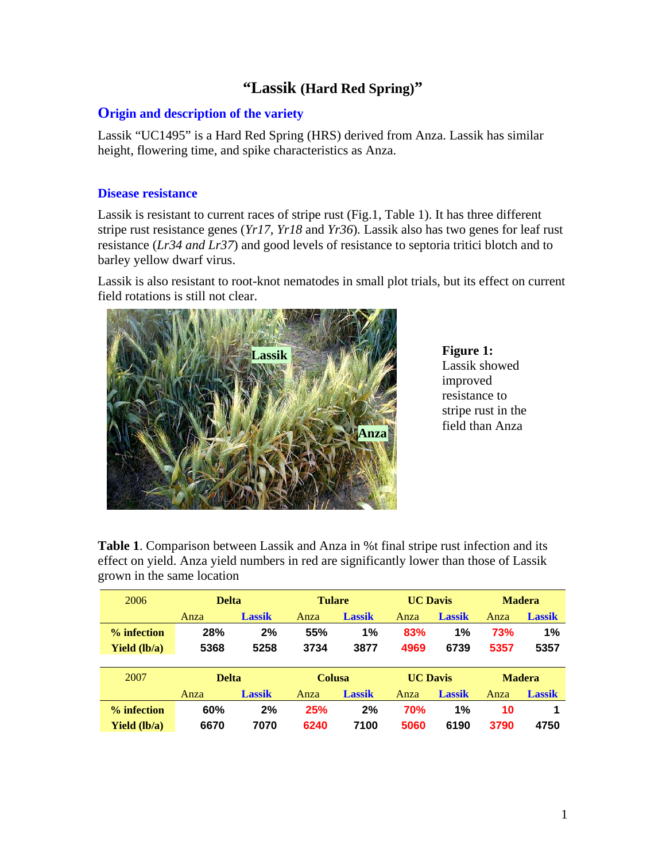# **"Lassik (Hard Red Spring)"**

### **Origin and description of the variety**

Lassik "UC1495" is a Hard Red Spring (HRS) derived from Anza. Lassik has similar height, flowering time, and spike characteristics as Anza.

#### **Disease resistance**

Lassik is resistant to current races of stripe rust (Fig.1, Table 1). It has three different stripe rust resistance genes (*Yr17, Yr18* and *Yr36*)*.* Lassik also has two genes for leaf rust resistance (*Lr34 and Lr37*) and good levels of resistance to septoria tritici blotch and to barley yellow dwarf virus.

Lassik is also resistant to root-knot nematodes in small plot trials, but its effect on current field rotations is still not clear.



**Figure 1:**  Lassik showed improved resistance to stripe rust in the field than Anza

**Table 1**. Comparison between Lassik and Anza in %t final stripe rust infection and its effect on yield. Anza yield numbers in red are significantly lower than those of Lassik grown in the same location

| 2006                | <b>Delta</b> |               | <b>Tulare</b> |               | <b>UC Davis</b> |               | <b>Madera</b> |               |
|---------------------|--------------|---------------|---------------|---------------|-----------------|---------------|---------------|---------------|
|                     | Anza         | <b>Lassik</b> | Anza          | <b>Lassik</b> | Anza            | <b>Lassik</b> | Anza          | <b>Lassik</b> |
| % infection         | 28%          | 2%            | 55%           | 1%            | 83%             | 1%            | 73%           | 1%            |
| <b>Yield</b> (lb/a) | 5368         | 5258          | 3734          | 3877          | 4969            | 6739          | 5357          | 5357          |
|                     |              |               |               |               |                 |               |               |               |
| 2007                | <b>Delta</b> |               | <b>Colusa</b> |               | <b>UC Davis</b> |               | <b>Madera</b> |               |
|                     | Anza         | <b>Lassik</b> | Anza          | <b>Lassik</b> | Anza            | <b>Lassik</b> | Anza          | <b>Lassik</b> |
| % infection         | 60%          | 2%            | 25%           | 2%            | <b>70%</b>      | 1%            | 10            |               |
| <b>Yield</b> (lb/a) | 6670         | 7070          | 6240          | 7100          | 5060            | 6190          | 3790          | 4750          |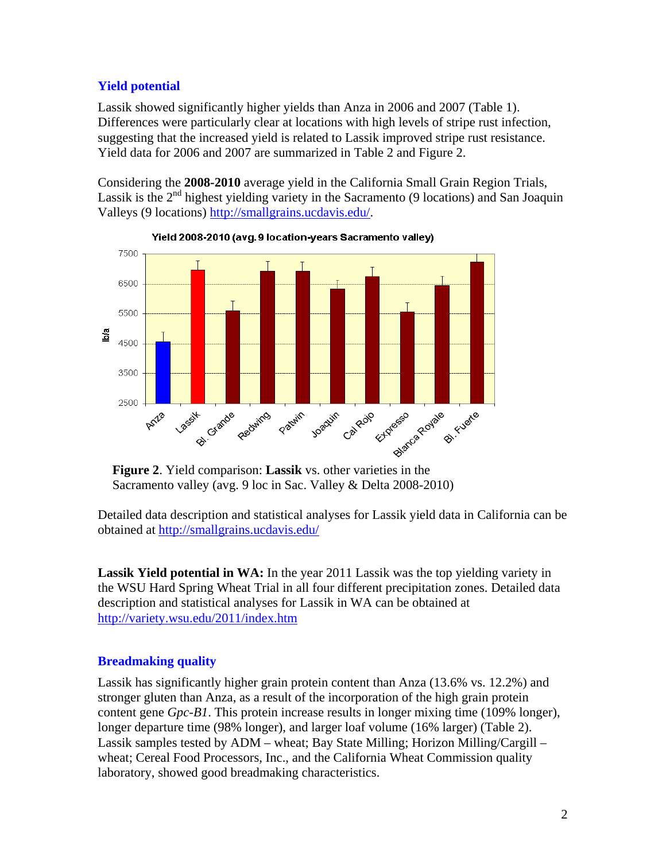# **Yield potential**

Lassik showed significantly higher yields than Anza in 2006 and 2007 (Table 1). Differences were particularly clear at locations with high levels of stripe rust infection, suggesting that the increased yield is related to Lassik improved stripe rust resistance. Yield data for 2006 and 2007 are summarized in Table 2 and Figure 2.

Considering the **2008-2010** average yield in the California Small Grain Region Trials, Lassik is the  $2<sup>nd</sup>$  highest yielding variety in the Sacramento (9 locations) and San Joaquin Valleys (9 locations) http://smallgrains.ucdavis.edu/.



Yield 2008-2010 (avg. 9 location-years Sacramento valley)

Sacramento valley (avg. 9 loc in Sac. Valley & Delta 2008-2010)

Detailed data description and statistical analyses for Lassik yield data in California can be obtained at http://smallgrains.ucdavis.edu/

**Lassik Yield potential in WA:** In the year 2011 Lassik was the top yielding variety in the WSU Hard Spring Wheat Trial in all four different precipitation zones. Detailed data description and statistical analyses for Lassik in WA can be obtained at http://variety.wsu.edu/2011/index.htm

## **Breadmaking quality**

Lassik has significantly higher grain protein content than Anza (13.6% vs. 12.2%) and stronger gluten than Anza, as a result of the incorporation of the high grain protein content gene *Gpc-B1*. This protein increase results in longer mixing time (109% longer), longer departure time (98% longer), and larger loaf volume (16% larger) (Table 2). Lassik samples tested by ADM – wheat; Bay State Milling; Horizon Milling/Cargill – wheat; Cereal Food Processors, Inc., and the California Wheat Commission quality laboratory, showed good breadmaking characteristics.